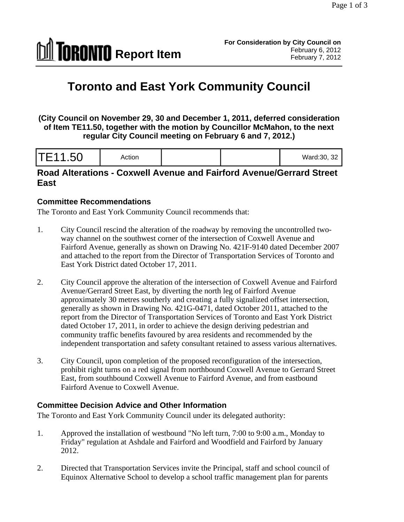

# **Toronto and East York Community Council**

**(City Council on November 29, 30 and December 1, 2011, deferred consideration of Item TE11.50, together with the motion by Councillor McMahon, to the next regular City Council meeting on February 6 and 7, 2012.)** 

| ו כדי טדיי $\blacksquare$<br>$v$ aru. $v, v$ |  |
|----------------------------------------------|--|
|----------------------------------------------|--|

## **Road Alterations - Coxwell Avenue and Fairford Avenue/Gerrard Street East**

#### **Committee Recommendations**

The Toronto and East York Community Council recommends that:

- 1. City Council rescind the alteration of the roadway by removing the uncontrolled two way channel on the southwest corner of the intersection of Coxwell Avenue and Fairford Avenue, generally as shown on Drawing No. 421F-9140 dated December 2007 and attached to the report from the Director of Transportation Services of Toronto and East York District dated October 17, 2011.
- 2. City Council approve the alteration of the intersection of Coxwell Avenue and Fairford Avenue/Gerrard Street East, by diverting the north leg of Fairford Avenue approximately 30 metres southerly and creating a fully signalized offset intersection, generally as shown in Drawing No. 421G-0471, dated October 2011, attached to the report from the Director of Transportation Services of Toronto and East York District dated October 17, 2011, in order to achieve the design deriving pedestrian and community traffic benefits favoured by area residents and recommended by the independent transportation and safety consultant retained to assess various alternatives.
- 3. City Council, upon completion of the proposed reconfiguration of the intersection, prohibit right turns on a red signal from northbound Coxwell Avenue to Gerrard Street East, from southbound Coxwell Avenue to Fairford Avenue, and from eastbound Fairford Avenue to Coxwell Avenue.

#### **Committee Decision Advice and Other Information**

The Toronto and East York Community Council under its delegated authority:

- 1. Approved the installation of westbound "No left turn, 7:00 to 9:00 a.m., Monday to Friday" regulation at Ashdale and Fairford and Woodfield and Fairford by January 2012.
- 2. Directed that Transportation Services invite the Principal, staff and school council of Equinox Alternative School to develop a school traffic management plan for parents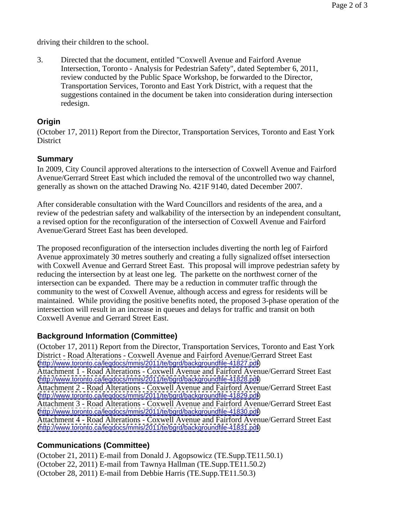driving their children to the school.

3. Directed that the document, entitled "Coxwell Avenue and Fairford Avenue Intersection, Toronto - Analysis for Pedestrian Safety", dated September 6, 2011, review conducted by the Public Space Workshop, be forwarded to the Director, Transportation Services, Toronto and East York District, with a request that the suggestions contained in the document be taken into consideration during intersection redesign.

#### **Origin**

(October 17, 2011) Report from the Director, Transportation Services, Toronto and East York District the contract of the contract of the contract of the contract of the contract of the contract of the contract of the contract of the contract of the contract of the contract of the contract of the contract of the c

#### **Summary**

In 2009, City Council approved alterations to the intersection of Coxwell Avenue and Fairford Avenue/Gerrard Street East which included the removal of the uncontrolled two way channel, generally as shown on the attached Drawing No. 421F 9140, dated December 2007.

After considerable consultation with the Ward Councillors and residents of the area, and a review of the pedestrian safety and walkability of the intersection by an independent consultant, a revised option for the reconfiguration of the intersection of Coxwell Avenue and Fairford Avenue/Gerard Street East has been developed.

The proposed reconfiguration of the intersection includes diverting the north leg of Fairford Avenue approximately 30 metres southerly and creating a fully signalized offset intersection with Coxwell Avenue and Gerrard Street East. This proposal will improve pedestrian safety by reducing the intersection by at least one leg. The parkette on the northwest corner of the intersection can be expanded. There may be a reduction in commuter traffic through the community to the west of Coxwell Avenue, although access and egress for residents will be maintained. While providing the positive benefits noted, the proposed 3-phase operation of the intersection will result in an increase in queues and delays for traffic and transit on both Coxwell Avenue and Gerrard Street East.

## **Background Information (Committee)**

(October 17, 2011) Report from the Director, Transportation Services, Toronto and East York District - Road Alterations - Coxwell Avenue and Fairford Avenue/Gerrard Street East [\(http://www.toronto.ca/legdocs/mmis/2011/te/bgrd/backgroundfile-41827.pdf](http://www.toronto.ca/legdocs/mmis/2011/te/bgrd/backgroundfile-41827.pdf)) Attachment 1 - Road Alterations - Coxwell Avenue and Fairford Avenue/Gerrard Street East [\(http://www.toronto.ca/legdocs/mmis/2011/te/bgrd/backgroundfile-41828.pdf](http://www.toronto.ca/legdocs/mmis/2011/te/bgrd/backgroundfile-41828.pdf)) Attachment 2 - Road Alterations - Coxwell Avenue and Fairford Avenue/Gerrard Street East [\(http://www.toronto.ca/legdocs/mmis/2011/te/bgrd/backgroundfile-41829.pdf](http://www.toronto.ca/legdocs/mmis/2011/te/bgrd/backgroundfile-41829.pdf)) Attachment 3 - Road Alterations - Coxwell Avenue and Fairford Avenue/Gerrard Street East [\(http://www.toronto.ca/legdocs/mmis/2011/te/bgrd/backgroundfile-41830.pdf](http://www.toronto.ca/legdocs/mmis/2011/te/bgrd/backgroundfile-41830.pdf)) Attachment 4 - Road Alterations - Coxwell Avenue and Fairford Avenue/Gerrard Street East [\(http://www.toronto.ca/legdocs/mmis/2011/te/bgrd/backgroundfile-41831.pdf](http://www.toronto.ca/legdocs/mmis/2011/te/bgrd/backgroundfile-41831.pdf))

## **Communications (Committee)**

(October 21, 2011) E-mail from Donald J. Agopsowicz (TE.Supp.TE11.50.1) (October 22, 2011) E-mail from Tawnya Hallman (TE.Supp.TE11.50.2) (October 28, 2011) E-mail from Debbie Harris (TE.Supp.TE11.50.3)